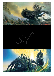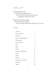*Welcome to Sil*

*A game of adventure set in the first age of Middle-earth, when the world still rang with elven song and gleamed with dwarven mail.*

*Walk the dark halls of Angband. Slay creatures black and fell. Wrest a shining Silmaril from Morgoth's iron crown.*

# *Contents*

| About Sil                            | 3              |
|--------------------------------------|----------------|
| Who will like Sil?                   | 3              |
| The basics<br>.                      | 4              |
| Notes for Angband players            | $\overline{4}$ |
| The Dungeon                          | 6              |
| Race and House                       | 6              |
| <b>Stats</b>                         | 7              |
| <b>Skills</b>                        | 8              |
| Combat                               | 11             |
| <b>Elements and Resistances</b>      | 15             |
| Morale                               | 16             |
| Stealth                              | 18             |
| Smithing                             | 20             |
| <b>Temporary Status Effects</b>      | 21             |
| Experience                           | 23             |
| <b>Abilities</b><br>________________ | 25             |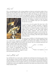*About Sil*

Sil is a role-playing game with a strong emphasis on discovery and tactical combat. It has a simple but rich combat system which allows for a great variety of choice: should you wear heavy armour that makes you easier to hit but reduces the damage you take? should you wield heavier weapons to overcome your opponents' armour, or wield lighter weapons for more accuracy and a greater chance of critical hits? It depends on the situation and the type



of character you become. You will also have the chance to retreat back into shadowy corridors to take the enemy one by one, or to stealthily creep up to your opponent and take him unawares.

It is also one of very few games that stays true to the writings of Tolkien. Carefully researched, it dispenses with many generic fantasy tropes and reveals a different world. There are no wizards or priests, no plate mail or magical scrolls. Instead, it is the Norse Saga inspired world that Tolkien imagined, with warriors clad in shining mail, singing songs of rage or sorrow as they slay. The magic of the world is subtle yet powerful: there are songs of fear and of binding, rather than spells of fireball and teleportation.

Sil comes from a tradition of role-playing games known as roguelikes. They stem from a game called Rogue that

was written before computers had graphics and instead used symbols on the screen to represent a dungeon filled with monsters and treasure, that was randomly generated each

time you played. Rogue also had 'permanent death': you have only one life and must choose wisely lest you have to start again. Finally, it had a system of unidentified items whose powers you must discover for yourself. Sil inherits all of these features, though it is much more advanced in many ways.



*Who will like Sil?*

You will like Sil if you want to play a detailed and well balanced role-playing game with a rich and intuitive system of tactical combat. You will also like it if you are interested in the works of Tolkien, or even just want a less generic role-playing game. The greatest obstacle to enjoying Sil will be its lack of graphics, but if you can overcome an initial reaction and begin to explore the world, your imagination should fill in the details more effectively than a small clump of pixels would.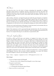

You take the role of an elf, dwarf or human, attempting the impossible: to infiltrate Morgoth's famed fortress of Angband, descend a thousand feet into the cold earth, find Morgoth in his throne room, and escape with a Silmaril from his crown. Along the way, you will need to find many items of power, learn potent skills and abilities, and slay many of Morgoth's servants.

After creating a character, you begin the game just inside the great dungeons of Angband. However you managed to enter (disguise? subterfuge? capture?) the cost was high: you are unarmed and carry only a few meagre supplies. Your first task will be to find a weapon so that you can hold your own with the early enemies. You will then need to secure a basic set of equipment over the first few levels, and begin developing your chosen skills and abilities.

The best way to pick up the basics of the game is to play the tutorial, and remember that you can always press (?) in game to bring up the help screen.

Much of the randomness in Sil is generated through simulated dice rolls. The terminology XdY is used for throwing X dice each of which has Y sides and adding up the total shown on the dice. For example, throwing two six-sided dice is represented by 2d6.

*Notes for Angband players*

Sil borrows much from the looks and interface of Angband, but almost every game mechanic has changed. While there are many similarities, the design principle was to do things as I believe would be best for a new game, rather than to compromise between this and how things were done in the past. However the learning curve should be mostly remedied by this document. If you just want to dive in, then simply read the rest of this section, start a new game, create a character, then press (?) for a nice explanation of the commands in Sil. At that point you are ready to try it out. Then have a look at this manual when you want to know more about the combat system or the skill system or the abilities…

You might be interested to know that Sil is actually descended from a variant of Angband (NPPAngband). However, this is scarcely evident in gameplay as so many NPP features have been changed or removed. The main legacy is the 4GAI code.

Rogue  $\rightarrow$  Moria  $\rightarrow$  Angband  $\rightarrow$  Angband (1 to 3.0.3)  $\rightarrow$  NPPAngband (0.1 to 0.4.1)  $\rightarrow$  Sil

## *Main changes*

- You are no longer trying to kill Morgoth
	- The aim is now to free a Silmaril from Morgoth's crown, then escape
- The game is much shorter
	- Morgoth is found at 1,000 ft
	- A winning game should take about 10 hours
- There is no town or word of recall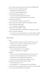- It has a much more coherent theme: The First Age of Middle Earth
- There are no classes, or experience levels
	- Instead there are 8 skills to improve
	- With a tree of special abilities for each
- The combat system is completely new
	- It is very thoroughly thought out and tested
	- It leads to many more interesting choices for the player
- Monster AI is much better
	- It uses 4GAI, plus numerous improvements
- The monsters, items, artefacts and almost completely rewritten
- There is much less explicit magic
	- e.g. no fireballs, no teleportation…
- There is more tactical depth in combat
	- Partly due to the absence of teleportation and other easy escapes
- There is an effective time limit
	- Over time you can no longer find your way to the shallower depths
	- You can thus play each level more than once, but not indefinitely

## *System changes*

- Stats
	- Based around the average for the Men of the first age (set as 0)
	- There are no 'stat potions', so initial stats matter a lot more
	- Int/Wis/Cha are replaced with Grace
- Hit points don't go up with experience
	- They are solely based on your Constitution
	- You die at 0 (instead of  $-1$  in Angband)
- Elements
	- There are only four elemental attacks (fire, cold, poison, dark)
	- Resistances stack, reducing damage to **½**, then **⅓**, then **¼**, …
	- Dark resistance is determined by your light level
	- Poison does no direct damage, but damages over time
- Speed is much less fine grained and less available
	- The only speeds are 1, 2, 3, 4
	- normal speed is 2, so +1 speed makes you move 50% faster
- The only 'pseudo id' is {special}, which covers artefacts and 'ego-items'
- You can only tunnel with shovels and mattocks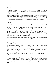*The Dungeon*

Deep below Thangorodrim go the pits of Angband, and many and sprawling are the corridors and caverns. It is so vast and lacking in order that having once left an area behind, it is highly unlikely that you could navigate your way back.

Deep, deep within the earth, a thousand feet underground, is the throne room of the black enemy Morgoth. There he holds court with all manner of foul orcs, beasts and demons, and in his black iron crown are those three stolen gems, the Silmarils of Feanor. It is normally the greatest and darkest of his servants who are found in the deep parts of the dungeons.

#### *Staircases*

Linking different areas of the dungeon are many winding staircases. These will normally take you to an area 50' deeper or shallower. Sometimes you may find shafts that dive down into the rock, taking you 100' deeper. But the dark power of Morgoth calls all new things in Angband to him, and you will only be able to resist this call for so long: as time goes on, you will be unable to find your way to the shallower levels (your character sheet shows this with the 'min depth'). Only with a Silmaril in your hand will you be able to return to the surface. This rule stops you slowly accruing power in the shallow regions — if you want to build up the power to face Morgoth's throne room in time, you will need to quickly descend to the deeper levels where the risks and rewards are greater.

Also note that if you use many staircases in a short period of time, you are liable to become lost and may unwittingly take a wrong turn or step overbold into a trap.

*Race and House*

The first choice in creating a character is to choose your race. Sil is unusual among roleplaying games in that the races are intentionally not balanced against one another. Instead, they act like a difficulty level. Playing one of the Noldor will produce the easiest game, and is recommended for first time players. Playing as one of the Naugrim or Sindar is a little harder but can lead to interesting variations in playing style, and playing as one of the Edain is noticeably more difficult, and should be considered a challenge mode. On the other hand, within each race, the Houses are considered as approximately equal in power level.

Each race and house gives you various modifiers to your statistics (Strength, Dexterity, Constitution and Grace), which are added as a bonus or penalty to the numbers you choose for your character. You can see these in the character creation screen. You will also have an affinity or penalty for one or more skills, and may have a proficiency for some types of weapon.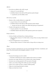# *Affinities*

- If you have an affinity with a skill, you get:
	- a bonus of 1 to your skill total
	- all abilities linked to that skill are 500 experience points cheaper
		- in particular your first ability is free!

# *Skill mastery or penalty*

- Mastery is like a double affinity for a single skill
	- you get a bonus of 2 to your skill total
	- all abilities linked to that skill are 1000 experience points cheaper
		- (except your first one, which is free rather than giving you experience!)
- Penalty is the opposite of an affinity
	- You get a penalty of 1 to your skill total
	- All abilities linked to that skill are 500 experience points more expensive.

# *Weapon proficiency*

- All elves (Noldor and Sindar) have a blade proficiency
	- This gives them a bonus of 1 to their melee so long as they are using a blade (sword or dagger).
- Dwarves (Naugrim) have an axe proficiency
	- This gives them a bonus of 1 to their melee so long as they are using an axe.

# *Stats*

You have 13 points to spend between your four stats (Strength, Dexterity, Constitution, and Grace). The costs increase as the triangular numbers: 1, 3, 6, 10.

# *Strength*

- Increases the damage you do in combat
	- But effect is limited by the weapon weight (see the section on Combat)
- Increases your range with bows (as it is based on the weapon damage)
- Increases your carrying capacity by 20% per point of Strength
- Allows you to throw things 20% further per point of Strength
- Allows you to wield very heavy weapons without penalty
- Helps you resist being disarmed in combat
- Helps you break free of webs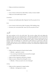• Helps you bash down locked doors

# *Dexterity*

- Gives a bonus to the first four skills: Melee, Archery, Evasion, Stealth
- Helps you avoid needle traps in chests

#### *Constitution*

• Increases your health points (like 'hitpoints') by 20% per point of Con

## *Grace*

- Gives a bonus to the last four skills: Perception, Will, Smithing, Song
- Increases your voice points (like 'mana') by 20% per point of Grace

*Skills*

The main mechanic in Sil is the skill check. This involves rolling 1d10 and adding the appropriate skill score and comparing this to 1d10 plus the difficulty level. The first total needs to be higher than the second in order to succeed. Skill checks are used in and out of combat, though if any of the first three skills (melee, archery, evasion), then d20s are used instead of d10s. The difficulty for a skill check is often based on an adversary's skill. For example, when you try to hit an opponent in melee, your melee skill is opposed to their evasion skill, and when you try to sneak past a monster, your stealth skill is opposed to their perception.

## *Melee*

- Helps you hit an opponent in hand-to-hand combat.
	- difficulty = opponent's evasion
	- You can also get critical hits (if you succeed by enough).
	- See Combat section for full details.
- Helps you hit an opponent with thrown weapons.
- Helps you prise a Silmaril from Morgoth's crown.
	- difficulty =  $0$  (but you need to do a lot of damage!)

## *Archery*

- Helps you hit an opponent in ranged combat.
	- difficulty = *half* opponent's evasion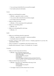- You can also get critical hits (if you succeed by enough).
- See Combat section for full details.

## *Evasion*

- Helps you avoid being hit in combat.
	- difficulty = opponent's melee or archery
	- You can also suffer critical hits (if you fail by enough).
	- See Combat section for full details.
- Helps you climb out of pits
	- difficulty = (15 for normal pits, 20 for spiked pits)
- Helps you avoid falling debris
	- difficulty  $= 20$
- Helps you avoid getting hit by dart traps.
	- $\bullet$  difficulty = 15

## *Stealth*

- Helps you avoid being noticed by opponents.
	- difficulty = opponent's perception + numerous modifiers
	- See Stealth section for full details
- Provides a bonus to melee against unwary or sleeping opponents if you have the 'assassination' ability.
- There is a penalty of  $-1$  to Stealth for each 10 lb of armour worn
- Stealth mode (command: 'S') gives +5 to Stealth, but –1 to speed.

# *Perception*

- Helps you notice traps and secret doors.
	- difficulty = base of half the dungeon level
		- +10 for floor traps and secret doors
		- +15 for chest traps
		- +5 if you cannot see properly
		- +5 if confused
		- +5 for each square of distance from you *(beyond the first)*
		- –5 if you used the 'search' command *(adjacent squares only)*
- Helps you disarm traps and pick locks.
	- difficulty = base from 1 to 7 depending on the trap or lock
		- +5 if it is a lock
		- +5 if you cannot see properly
		- +5 if confused
	- You trigger a trap if you fail to disarm it by 3 or more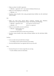- Helps you detect 'invisible' opponents.
	- difficulty = opponent's will  $+2$  per square of distance between you
- Helps you avoid stepping on a caltrop trap.
	- difficulty =  $10$
- Provides various benefits when using perception-based abilities (see the individual ability listings)

#### *Will*

- Helps you resist many special effects: confusion, stunning, fear, blindness, entrancement, slowing, hallucination, hunger, stat draining, and forgetting.
	- difficulty = opponent's will *(if an opponent caused the threat)*
	- difficulty = 10 *(if there is no opponent)*
- Helps you successfully use staves and horns.
	- $\bullet$  difficulty = half the object level +5 if confused
	- Increases the effectiveness of many staves and horns.
- Provides various benefits when using will-based abilities (see the individual ability listings)

#### *Smithing*

- Lets you make more powerful items at forges.
	- See Abilities section and the tutorial for more details.
- The only skill that doesn't use opposed rolls (or any roll at all).

#### *Song*

- Increases the power of various songs that you can sing.
	- See the Abilities section for full details.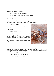*Combat*

Each attack you make has two stages:

- 1. Roll to see whether you hit your target.
- 2. If you hit, then roll to see how much damage you do.

## *Weapons and Armour*

Weapons and armour have a few numbers displayed next to their names which explain how they relate to these two phases of an attack. Take an axe for example:

Battle axe (-3,3d4)

This battle axe provides a penalty of –3 to accuracy, and if it hits it does 3d4 points of damage. Armour is quite similar:

Leather armour [-1,1d4]

This suit of leather armour has a penalty of –1 to evasion, making you slightly easier to strike than if you were unarmoured. However, it also offers some protection, absorbing 1d4 points of damage each time you are struck. These are very simple examples and sometimes it can be more complex. For example:

> Greatsword (-2,3d5) [+1] Mail corslet (-1) [-3,2d4]



This greatsword offers a +1 bonus to evasion, making you slightly harder to strike. This represents your ability to parry with it. On the other hand, the mail corslet is sufficiently cumbersome that it gives a penalty to accuracy as well as a penalty to evasion. You can work out which numbers apply to offense and which apply to defence as follows:

- Offense comes first and is in round brackets.
- Defence comes second and is in square brackets.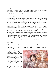# *Attacking*

To determine whether an attack hits, the attacker makes an *attack roll* and the defender makes a *evasion roll*. If the attack roll is greater, then the attack hits.

Attack roll: Attacker's melee score + 1d20 Evasion roll: Defender's evasion score + 1d20

The melee and evasion scores are the associated skills combined with a number of modifiers. Firstly, as noted above, the skills are affected by your weapons and armour. They can also be affected by other things, such as being stunned (which gives –2 to all your skills including both melee and evasion), being overwhelmed, and various special abilities. The penalty for being overwhelmed only affects evasion. The size of the penalty depends upon how many monsters are surrounding you, and on where they are relative to the monster who is currently attacking. You get a –2 penalty for each monster that is in one of the three sides furthest away from the attacking monster, and a –1 penalty for any other adjacent monsters. This is a severe penalty, and even weak monsters can become deadly when they surround you. As there is only one of you, monsters will never suffer this penalty.

Finally, the melee score is *halved* if the attacker cannot see the defender and the evasion score is likewise halved if the defender cannot see the attacker. Opponents that are unwary count as not being able to see you for these purposes. If you are unfortunate enough to be fighting from within a pit or a web, both your evasion and melee scores are halved (again). If someone is completely unable to move (i.e. an enemy is asleep or the player is entranced) then their evasion score is set to –5 irrespective of any other relevant modifiers.

## *Doing Damage*

To determine how much damage is dealt when an attack hits, the attacker makes a *damage roll* and the defender makes a *protection roll*. If the damage roll is smaller or equal, the attack does no damage. If it is greater, it does one point of damage for each point of difference between the rolls.

In simple cases, the damage roll is just the damage of the weapon, and the protection roll is the sum of the protection rolls for every piece of armour being worn. However, there are often modifiers on the weapon damage. Some of these affect the number of dice that are rolled, while others affect how many sides these dice have.

For each point of strength the attacker has, a side is added to the dice. For example, if you have

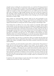strength 3 and are wielding the axe mentioned earlier, you would do 3d7 damage instead of the basic 3d4. However, there is a limit to how much strength can be applied with a given weapon. Your strength bonus is limited to 1 point of bonus damage for each 1 lb of weapon weight. For example, no matter what strength you have, you couldn't get more than 4 bonus sides with a 4 lb battle axe. High strength characters will want to use heavier weapons (to take advantage of their strength) and weapons with many dice (to take advantage of the extra sides). Note that negative strength subtracts sides of damage up to the same strength limit based on weapon weight.

Some weapons are 'hand-and-a-half' weapons, which can be used one-handed or twohanded. If you are not wearing a shield, you are presumed to be wielding these weapons two-handed and are given a bonus 2 damage sides. To continue the example above, let's suppose that the battle axe is being used with two hands, giving it a total damage of 3d9.

Extra damage dice are added in two ways. Some weapons are especially deadly against certain enemies. In such cases, they do an extra die of damage. For example, if the axe above is an axe of orc-slaying and is being used against an orc, it will do 4d9 damage instead of 3d9. Elemental brands (such as fire brand or frost brand) are similar, doing an extra die of damage against enemies that do not resist the element and 2 extra dice against enemies that are explicitly vulnerable to it (such as fire damage against a frost demon). As always, damage by your enemies works the same way. For example if a Werewolf bites you with a 2d9 poison attack, you will take 3d9 damage if you do not resist poison. Elemental attacks are thus a bit more dangerous than they first appear in the monster recall window.

It is also possible to get extra dice via critical hits. These are awarded when the attack roll exceeds the evasion roll by a particularly large amount. This amount is determined by the weight of the weapon, with lighter weapons more likely to produce critical hits, due to their easier handling.

To get a critical hit, you need to beat the evasion roll by a certain amount. This amount is 7 points plus one point per pound of weight of your weapon. You are granted a bonus damage die for every multiple of this amount by which you exceed the required score. For example, if wielding a 3 lb longsword, you would need to beat the evasion score by 10 points to get the first bonus die, by 20 points for the second die, 30 points for the third, and so on. This sounds very difficult, but characters who concentrate on accuracy can get very large critical hits, particularly on sleeping or unwary monsters. Of course, monsters can also get critical hits upon you if you are too poor at evasion. You don't need to memorize this formula; just bear in mind that high accuracy and light weapons can sometimes do a lot of extra damage.

In summary, the weapon damage can gain extra sides from strength or from two-handed wielding, and extra dice from 'slays' and critical hits.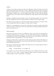# *Archery*

Archery is very similar to melee, but with a few differences. Firstly, the attack roll uses the archery skill instead of the melee skill. To this is added the attack bonus of the arrow being fired, and a range penalty of –1 for every 5 squares the target is from the archer. In addition, the defender's evasion score is halved against archery (this can stack with the halvings mentioned above). This makes evasion considerably less useful against archery than against melee.

Damage is calculated almost identically to melee, incorporating strength, 'slays' and critical hits. The strength bonus of bows is again limited to 1 point per 1 lb of weapon weight.

The range of a bow is equal to 1.5 times the number of sides of damage you do with it. Thus, if you are doing 1d10 with your Longbow, its range will be 15 square.

Finally, it is very dangerous to use your bow when there are enemies in melee range. Firing your bow in such a circumstance will let your guard down, allowing all adjacent enemies to make a free attack on you.

# *Thrown weapons*

Throwing is like melee, but with a few differences. Firstly, many items are not designed to be thrown and they thus give a penalty of –5 to the attack roll when thrown. The items that are designed to be thrown include daggers, throwing axes, spears and tridents. All throwing attacks also suffer a range penalty of –1 for every 5 squares.

Damage is just like melee, except that the number of damage sides is halved if the object was not designed for throwing. Thus, even if you can hit with a thrown longsword, it will do a lot less damage than in melee.

The range is calculated from the weight of the object and your carrying capacity (which in turn depends on your strength).

Range: carrying capacity /  $(5 \times (weight + 2))$ 

For example, if you can carry 100 lb and are throwing a spear weighing 4 lb, then your range is 100 /  $(5 \times (4 + 2)) = 3.333 = 3$  squares. While the range is tricky to calculate, all throwing weapons display it when examined (the 'x' command).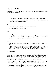*Elements and Resistances*

As well as purely physical attacks, there are four special types of elemental attack that some monsters may use against you:

## *Fire*

- The most common and dangerous element the fires of Angband are legendary.
- It can destroy arrows, bows, axes, polearms, hafted weapons, boots, gloves, cloaks, soft armour, chests, torches and staffs.

#### *Cold*

- Treated similarly to fire, but less common and less dangerous.
- It can destroy potions and flasks of oil.

#### *Poison*

- Many spiders and werewolves are famed for their deadly poison.
- Instead of damaging you directly, poison damage is added to your poison counter. If you don't take steps to prevent this, you will eventually suffer all of this damage. Each round, the poison counter is reduced by 20% and you suffer this damage.

#### *Darkness*

- Morgoth is the Lord of Darkness, and some of his servants use darkness itself against you.
- Darkness resistance works differently to the other elements. There is no 'darkness resistance' available, except a strong source of light. If the light level on your square is above 2, you get a level of darkness resistance counted for each level of excess.

#### *Elemental damage*

Elemental attacks are either pure (like dragon breath and poison gas), or mixed with physical damage (like a balrog's flaming sword). Mixed elemental damage was explained in the combat section: if you don't have the relevant resistance, you take an extra die of damage. If you are especially vulnerable, you take two extra dice of damage. There is no advantage in having multiple sources of resistance to mixed elemental damage.

Dragons and some other foes have potent elemental breaths. Their breath spreads out in a cone, damaging everything within, but the damage decreases by 2d4 for each square. Armour is usually no defence against such an attack. The only sources of protection that count are special protection from special abilities, or magical rings and amulets. If it is fire or cold damage, you can also count the protection from your shield. Any damage that gets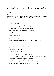through this meagre protection is then halved if you have resistance, or divided by three if you have double resistance etc. If you are vulnerable to the element, the damage is doubled.

# *Morale*

Sil has a sophisticated morale model for its enemies. Other than mindless creatures (which always just attack you) most enemies take stock of the situation and retreat if needed. They have a morale level which changes depending on the circumstances.

# *Bonuses:*

- The base for morale  $(6)$
- Appearing after their usual depth (+1 per 50 ft)
- The player is escaping Angband with a Silmaril (+2, instead of the depth modifier)
- The player is blind, hallucinating, or stunned (+2 each)
- The player is confused, slow, afraid, or heavily stunned (+4 each)
- The player is entranced or knocked out  $(+8$  each)
- The player has  $\leq 75\%$  health (+2)
- The player has  $\leq 50\%$  health (+4)
- The player has  $\leq 25\%$  health (+8)
- The monster is hasted  $(+4)$
- Similar creatures in line of sight that are not fleeing (+1 each, or +4 for leaders)

# *Penalties:*

- Appearing before their usual depth (–1 per 50 ft)
- The monster is stunned  $(-2)$
- The monster has  $\leq 75\%$  health (-2)
- The monster has  $\leq 50\%$  health (-4)
- The monster has  $\leq 25\%$  health (-8)
- The monster is already fleeing and  $\leq 75\%$  health (-2)
- Light susceptible and the player's square has more than 3 light (-1 per level in excess)
- A non-unique monster is carrying items (–2 per item)
- The player has the ability Majesty (–1 per 4 points of player's Will)
- The player has the ability Bane (-x, where x is the player's Bane bonus)
- Similar creatures in line of sight that are fleeing (–1 each, or –4 for leaders)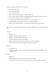*Temporary modifiers (which decay by 10% each turn):*

- Unable to escape  $(+6)$
- Just stopped fleeing  $(+6)$
- Just started fleeing  $(-6)$
- It (or a similar creature) is hit by a slaying weapon  $(-2)$
- It (or a similar creature) is hit by an elemental brand it is especially vulnerable to  $(-2)$
- It (or a similar creature) is hit by a Cruel Blow (–2)
- A similar creature is killed in line of sight (–4, or –16 for a leader)
- Song of Elbereth (-1 per point by which you won the skill check)
- Horn of Terror, Staff of Majesty (–2 per point by which you won the skill check)

The morale level of an enemy determines its 'stance' which can be one of the following three:

# *Aggressive*

- (Morale  $> 20$ )
- Aggressive monsters simply attack you.
- Mindless creatures are always Aggressive.
- Trolls are Aggressive instead of Confident.
- Enemies who have been angered are Aggressive instead of Confident.
- Items of Wrath make creatures Aggressive instead of Confident.

# *Confident*

- $(0 > \text{Morale} \geq 20)$
- Confident monsters may use tactics while attacking you (such as lurking in rooms waiting for you).

# *Fleeing*

- (Morale  $\leq 0$ )
- Fleeing monsters try to get as far away from you as possible.
- Creatures that are immune to (non-magical) fear stay Confident instead of fleeing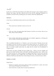*Stealth*

In the tale on which Sil is based, Beren and Luthien did manage to enter Angband, obtain a Silmaril, and escape. This they achieved not by force, but by subterfuge. Similarly it is possible to succeed in Sil by sneaking past your enemies rather than fighting them.

#### *Mechanics*

At any time, an individual monster may be in one of three states:

#### *Asleep*

• They cannot move and their evasion is set to [-5].

#### *Unwary*

• They are awake and going about their business, but they do not know that you are there. Their evasion is halved.

#### *Alert*

• This is further subdivided into whether they are Confident, Aggressive, or Fleeing, but this is a matter of morale rather than stealth.

This is modelled internally by an 'Alertness' score for the monster. Monsters always start out Asleep or Unwary, but may as a result of your actions notice you. An 'Alertness' of 0 or more means they are aware of you; between –1 and –10 means they are awake but unwary, and –11 or below usually means they are asleep. But be warned: not all inhabitants of Angband sleep!

Each round, you make a Stealth roll (your stealth score + 1d10), to see how stealthy and quiet you are. Each monster makes a Perception roll (their perception score +1d10), to see how observant they are. Various modifiers are applied, listed below. If at the end of this the monster's perception score is higher than your stealth score, their Alertness increases by difference which may make them move from Asleep to Unwary, or from Unwary to Alert.

## *Modifiers to Stealth*

#### *Helpful factors:*

- Distance to monster: each square reduces monster perception by 1 point, and sound does not pass through stone or rubble at all.
- Each closed door on path reduces monster perception by 5.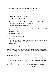- If you are in Stealth mode (press (S) to activate, but be warned that it makes you move more slowly than normal), you get a bonus of +5 to your stealth
- If you passed last turn (pressed  $(5)$  or  $(z)$ , or  $(Z)$ ), you get a bonus of +7 to your stealth (not cumulative with Stealth mode).

# *Hindrances:*

- For each 10 lb of armour you are wearing  $(-1)$
- Being attacked by one or more enemies (–2)
- Attacking one or more enemies  $(-2)$
- Awake but unwary monsters which are in line of sight get some additional bonuses:
	- Doubles the modifiers for attacking or being attacked
	- For every adjacent passable square  $(-1)$ 
		- So you may do well to stick to walls and corners.
- If you are singing, this reduces your stealth by a value equal to the noise level of the Song (see the list of Songs).
- Setting off some traps  $(-5 \text{ to } -10)$
- Landing from a leap  $(-5)$

*One-off effects that are not modified by stealth:*

- Player actions:
	- Earthquakes (30), horns (10 to 40), smithing (10), bashing doors (5 or 10), tunneling (5 or 10), setting off some traps (–10 to 20).
- Monster abilities:
	- Earthquakes (30), arrows (5), boulders (10), crying out (10), breath weapons (10), unearthly screeching (20).

Stealth is thus quite abstract: a high stealth may mean little noise made, or that you kept in the shadows, or that you moved in an unobtrusive way, or let the noises that did occur sound like the natural background noises in the dungeon.

If you attack a monster, or an unaware monster tries to move into the square you are on, it will immediately notice you.

Once a monster has noticed you, it will become unwary again if you are out of sight of it, and it fails its perception check to spot you by 25 points or more. In this case, they lose a point of alertness for each point in excess of 25 that they fail by. This is very hard to achieve and will typically require you to get a fair distance from the monster and close some intervening doors. Note that this number is reduced to 15 if you have the ability 'Vanish'. In addition, there are a few other ways in which you can make monsters become unwary:

• It is possible to put monsters to sleep with a Staff of Slumber or the Song of Lorien.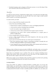• Territorial monsters such as dragons will become unwary or even fall asleep if they have returned to their lairs and cannot see you.

*Smithing*

As well as its many treasures, Angband has mighty forges, to arm the hosts who fight under Morgoth's banner. If you find one, you may be able to use such a forge to make yourself arms or armour, or even items of great power.

To create an item, you need:

- to be at a forge which has enough resources left,
- to have the relevant Smithing Ability:
	- *Weaponsmith* for weapons, including bows, arrows, and digging implements
	- *Armoursmith* for armour, including cloaks and shields
	- *Jeweller* for amulets, rings, and light sources
	- *Artistry* if you want to make a particularly fine weapon or piece of armour
	- *Enchantment* if you want to add a special enchantment to a weapon, piece of armour, or light source
- to have enough mithril, if the item requires it,
- to have a high enough Smithing skill (which depends on the item type and the bonuses you add to it),
- to put a part of yourself into the item, for certain types of enchantment:
	- this can be experience points, which is a permanent cost (this is normally the cost for items which grant Abilities or give bonuses to Skills),
	- it may instead be one or more stat points (which will be drained until such time as you eat or drink something which can restore them).

Making an item will take ten turns per point of difficulty, and makes noise, so you may be interrupted during this time. If this occurs you can resume your forging where you left off.

Some items are particularly easy to enchant. The costs for weapons (including bows), shields, body armour, helms, and amulets are lower than those for other equipment slots. The costs for robes, sceptres, and crowns are even lower.

When not at a forge, you can still plan what you'd like to make if you find one by pressing '0' to enter Smithing planning mode and explore the possibilities.

#### *Creating artefacts*

Truly great smiths are capable of working beautiful or terrible pieces. If you have the Artifice ability, you will be able to create your own artefacts, which may be a matter for songs and legends of the future. This can let you customise your items much further, as well as going beyond the bounds of what is normally possible. In addition you can name your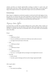artefacts, and they are virtually indestructible. Creating an artefact is a great work, and requires three uses from a forge. These must all be at the same forge, so you must find a forge with enough resources; it is impossible to begin work at one and finish at another.

# *Enchanted forges*

Many forges in Angband are used just to produce swords and mail for the legions of orcs, but some few are used for the axes of the Valaraukar or the armour of the Troll Guard of Gothmog. If you are lucky enough to be working at such a forge, it will give you a bonus to your Smithing, allowing you to make more powerful items than otherwise.

*Temporary Status Effects*

At certain times you may find yourself suffering from various effects. Many of these are displayed in coloured text near the bottom of the map. These will usually wear off in time, and there is typically some kind of consumable item to be found which will immediately remove the effect.

# *Hunger*

- Gorged:
	- $\geq 8,000$  turns of food
	- You are so full that you cannot eat or drink any more until you recover
	- You digest food much faster in this state.
- Full:
	- $\geq 5,000$  turns of food
- Hungry:
	- $\geq$  2.000 turns of food
- Weak:
	- $\geq 1,000$  turns of food
	- You are at –1 to Strength until you manage to eat enough food to recover
- Starving:
	- 0 turns of food
	- You take a point of damage each turn and no longer regenerate health

# *Other negative effects*

- Blind:
	- You cannot see anything.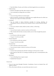- Note that Melee, Evasion, and Archery are halved against foes you cannot see.
- Hallucinating:
	- Enemies and objects look like other enemies or objects.
	- You occasionally see things that are not there.
- Slow:
	- You are moving at half your normal speed.
	- May be caused by carrying more weight than your weight allowance (in which case the only way to stop it is to reduce your load).
- Confused:
	- You are unable to choose directions normally for moving, attacking, etc. Attempting to choose a direction may randomly choose a nearby direction instead.
- Afraid:
	- You are too afraid to attack, either by melee, archery, or throwing.
- Entranced:
	- You are frozen in place, cannot act, and are at [-5] evasion.
	- This is broken the first time an enemy attacks you (or when enough time passes).
- Stunned:
	- (1 to 50 turns on the stun counter)
	- You get –2 to all of your skills
- Heavily Stunned:
	- (51 to 100 turns on the stun counter)
	- You get –4 to all of your skills
- Knocked Out:
	- (101 to 105 turns on the stun counter)
	- You are frozen in place, cannot act, and are at [-5] evasion.
- Poisoned X:
	- You have been poisoned and will take X damage over the next few rounds.
	- Each round you take 20% of X damage (rounded up) and X is decremented by this amount.
- Bleeding X:
	- You are bleeding from an open wound.
	- Handled like Poisoned X.

## *Drained stats*

- If any of your stats (Strength, Dexterity, Constitution, Grace) are drained, they will appear in yellow.
- This will not heal with time: you must find some item to cure it.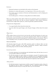### *Resistances*

- Elemental resistances are described in the section on the elements.
- Resistance to a status effect grants a very large bonus (+10) to any roll to avoid it.
- Free Action conveys resistance to Slowness and Entrancement, as well as helping you escape from Webs.
- See Invisible grants a +10 bonus to seeing otherwise invisible enemies.

There are various positive status effects which may be granted by pieces of equipment or consumables (in the latter case they are always temporary). These include resistances, increased stats or light radius, speed, etc, which are generally explained elsewhere.

Of special note is Regeneration:

- You regain health at three times the normal rate.
- You also suffer from great hunger, and will grow hungry at three times the normal rate

# *Experience*

Sil has neither classes nor levels, but it is far from the case that all characters of a given race are the same. As you adventure, you will accrue experience points, which you can spend in the character screen (accessed by pressing the @ symbol) to improve your prowess. There is a lot of flexibility in how you spend your experience, and this is a major part of the game.

## *Sources of experience*

All characters begin the game with 5,000 experience points to allocate. There are four sources of further experience in the game: encountering monsters; killing monsters; descending deeper into the Iron Hells; identifying objects.

## *Encountering monsters*

- You gain experience for encountering each individual enemy the first time you see it (or if you kill it without ever seeing it).
- For the first monster of a given type you encounter, you get *d*/5 experience points, where *d* is the depth (in feet) at which it is normally met. For subsequent encounters with monsters of the same type, the amount that you get decays: when you meet the second one you will only received **½** this amount of experience, then **⅓**, then **¼…**

## *Killing monsters*

• For the first monster of a given type you kill, you get *d*/5 experience points, where *d* is the depth (in feet) at which it is normally met. The experience gained for killing additional monsters decays in exactly the same way as for encounters.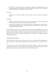• Thus there is the same amount of experience available for killing monsters as for encountering them. All characters are likely to get more experience from encounters than from kills, and for some this may be much more.

# *Descending*

• The first time you reach a depth of *d* feet (or deeper), you are awarded *d* experience points.

# *Identification*

- Whenever your character identifies a new type of potion, herb, ring, amulet, horn, stave or special item, you are awarded 100 experience points.
- In the halls of Angband one may find ancient or renowned items of great power, which we collectively refer to as artefacts. Each time you identify an artefact, you are awarded 200 experience points.

Note that there are several ways to deal with enemies apart from killing them: you may, for instance, sneak past them, make them flee before you, or run yourself. Characters who kill few enemies may thus get a little less experience than those who do, but may also have a higher chance of survival (combat is dangerous!). It is possible to complete the game without ever attacking.

# *Spending Experience points*

Your character may use the lessons learned to train any of the eight skills detailed below. Your first point in a skill will cost 100 experience, your second 200, your third 300, and so on.

You may also learn various unique abilities. Each ability is linked to a skill, and may have requirements before you are able to learn it. For each skill, the first linked ability costs 500 experience points, the second costs 1000, the third costs 1500, and so on.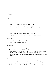*Abilities*

#### *Melee*

## *Power*

- Gives a bonus of +1 damage sides to your melee attacks.
- But increases the amount needed to score each level of critical hit by 1.
	- e.g. need to hit by  $8 +$  weapon-weight instead of  $7 +$  weapon-weight.

#### *Finesse*

- Lowers the amount needed to score each level of critical hit by 1.
	- e.g. need to hit by  $6 +$  weapon-weight instead of  $7 +$  weapon-weight.

#### *Throwing Mastery*

- Gives a +5 bonus to melee when using throwing attacks.
- Prevents thrown items from breaking.

#### *Polearm Mastery*

- Gives a +1 bonus to melee when using polearms.
- Allows you to 'set' a polearm to intercept attackers.
	- If you waited last turn (pressed '5' / 'z') and any opponent who wasn't adjacent to you moves into an adjacent position, you get a free attack on them.
	- Note that you don't get the free attack if you cannot see the opponent or you are confused.

#### *Charge*

- If you attack an opponent after having just moved towards that opponent (so that your move and attack are in the same direction or at most 45° apart), then your attack is calculated as if you had 3 more points of strength and dexterity.
- The damage bonus is only gained if this is a regular, flanking, or controlled retreat attack.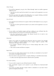# *Follow-Through*

- If you kill an opponent, you get a free 'follow-through' attack on another opponent adjacent to you.
	- Note that you don't get the free attack if you cannot see the opponent or you are confused.
- The follow-up attack only applies if the killing blow was a regular, flanking, controlled retreat, *or follow-through* attack (so it can be chained).

### *Zone of Control*

- If an opponent moves between two squares which are both adjacent to you, you get a free attack.
	- Note that you don't get the free attack if you cannot see the opponent or you are confused.

#### *Subtlety*

- If you wield a one handed weapon and have nothing in your off-hand, then the amount needed to score each level of critical hit is reduced by 2.
	- Note that hand-and-a-half weapons like Bastard Swords do *not* count as one handed weapons for these purposes.

#### *Momentum*

- Allows you to apply your strength more effectively with your weapon. Your strength bonus to damage is usually limited by the weapon weight in pounds. With Momentum, this upper limit is doubled.
	- For example a character could get up to 3 bonus damage sides with a 1.5 lb shortsword.
	- This works for melee and thrown weapons.

#### *Rapid Attack*

- You receive two melee attacks instead of one, but they are calculated as if you had 3 fewer points of strength and dexterity.
- The extra attack is only gained if this is a regular, flanking, or controlled retreat attack.
	- In other cases the single attack doesn't suffer the above penalties.

#### *Two-weapon Fighting*

- You can wield a weapon in your off-hand instead of a shield.
- Only one-handed weapons can be placed in your off-hand (no hand-and-a-half weapons).
- You receive an attack with this weapon which is calculated as if you had 3 fewer points of strength and dexterity.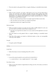• The extra attack is only gained if this is a regular, flanking, or controlled retreat attack.

# *Knock Back*

- When you hit a monster, you make a skill check to see if you can force them back a square. You roll twice your effective strength with that attack against twice their constitution. Your effective strength includes the modifiers for abilities like Charge or Rapid Attack, it is capped by the weight of your weapon, and then there is a  $+2$  bonus if wielding a weapon with two hands.
	- They are only knocked back if there is an empty square for them to move into.
	- They miss their next turn if they are actually moved back.
	- Opportunist attacks don't trigger Knock Back

## *Whirlwind Attack*

- When you attack an enemy in an open area (no walls or rubble adjacent to you), you get a free attack on all other enemies that are adjacent to you.
	- Note that you *do* get the free attacks *even if* you cannot see the opponent or you are confused.
- The extra attacks are only gained if this is a regular, flanking, or controlled retreat attack.
- Note that *all* the attacks are treated as whirlwind attacks, so they are incompatible with many other abilities.

## *Strength*

• You gain a point of Strength.

*Archery*

## *Careful Shot*

• Halves the chance of arrows breaking (from  $20\%$  to  $10\%$ ).

## *Precision*

- Lowers the amount needed to score each level of critical hit by 1.
	- i.e. need to hit by 6 + bow-weight instead of 7 + bow-weight.

## *Point Blank Archery*

• When you provoke attacks of opportunity by firing your bow, the enemy you fired at doesn't get one.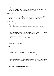# *Versatility*

• If you have more skill points in archery than in melee, you gain a bonus to melee of half the difference between the two scores (rounding down).

# *Crippling Shot*

• If you score a critical hit using archery (and do at least 1 point of net damage), your opponent has to make a Will check against 4 times the level of your critical hit. If they fail, they become slowed for one round for each level of the critical hit.

## *Flaming Arrows*

- Your arrows do an extra die of damage against enemies that are not fire-resistant, but they always break.
	- Remember that you can turn abilities off when you don't wish to use them.

## *Rapid Fire*

- When you fire at an enemy, you fire two arrows instead of one, but the attacks are calculated as if you had 3 fewer points of strength and dexterity.
	- If the first shot kills the enemy and there are no more enemies in that direction, there will be no second shot.
	- Note that if it is your final arrow there will be only one shot *and no penalty*.

## *Dexterity*

• You gain a point of Dexterity.

## *Evasion*

## *Dodging*

- Gives you a bonus of +3 to evasion if you moved last turn.
	- This is not displayed on the side of the screen, but *does* happen.

## *Blocking*

• Doubles the number of dice of protection granted by your shield against ranged attacks, and also against melee attacks on any turn where you wait (press '5' / 'z').

## *Parry*

- Doubles the evasion bonus granted by your weapon.
	- This bonus does not apply to a weapon wielded in your off-hand.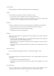# *Crowd Fighting*

• Halves the bonus to melee that opponents get for surrounding you.

# *Leaping*

- You can leap over a square of a chasm, a false floor, or a pit.
	- You must have moved roughly towards it on the previous turn.
	- It takes the usual two turns to reach your destination, one of which is spent in the air and you can't do anything in this turn, but can be attacked.

# *Sprinting*

- You gain +1 speed if you move four or more squares in roughly the same direction.
	- Each of the four moves can be up to 45° different from the one before it.
	- The speed lasts until you fail to meet the condition.
	- Note that you can never exceed speed 3.

## *Flanking*

- Gives you a free attack on an opponent if you move between two squares which are both adjacent to it.
	- You cannot get a flanking attack and a controlled retreat attack on the same turn, flanking simply adds to the eligible opponents.
	- Only works on one opponent each time and gives preference to the one that is targeted (if any).
	- Note that you don't get the free attack if you cannot see the opponent or you are confused.

## *Heavy Armour Use*

• Gives you [1dX] extra protection, where  $X =$  total armour weight  $/ 15$  lbs

## *Riposte*

- If an opponent misses you in melee by at least 10 + your weapon weight, you get a free attack on it.
	- You only get at most one riposte per round.
	- Note that you don't get the free attack if you cannot see the opponent or you are confused.

#### *Controlled Retreat*

• Gives you a free attack on an opponent if you move from a square adjacent to it to a square not adjacent to it, but only if you didn't move on the previous round.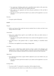- You cannot get a flanking attack and a controlled retreat attack on the same turn, controlled retreat simply adds to the eligible opponents.
- Only works on one opponent each time and gives preference to the one that is targeted (if any).
- Note that you don't get the free attack if you cannot see the opponent or you are confused.

#### *Dexterity*

• You gain a point of Dexterity.

#### *Stealth*

#### *Disguise*

• Halves any bonuses that awake but unwary monsters have to notice you due to you being in their line of sight.

#### *Assassination*

- Gives you a melee bonus equal to your stealth score when you attack unwary or sleeping opponents.
	- Note that you don't get the melee bonus if you cannot see the opponent or you are confused.
- The melee bonus is only gained if this is a regular, flanking, or controlled retreat attack.
- The bonus is not applied if you are doing a charge attack.

#### *Cruel Blow*

• If you score a critical hit in melee (and do at least 1 point of net damage), your opponent has to make a Will check against 4 times the level of your critical hit. If they fail, they become confused with pain for one round for each level of the critical hit.

#### *Opportunist*

- If an opponent moves from a square which is adjacent to you to one which is not, you get a free attack.
	- Note that you don't get the free attack if you cannot see the opponent or you are confused.

#### *Exchange Places*

- You may use the 'X' command to swap places with an adjacent enemy.
- Alert enemies get a free attack on you unless they are confused or mindless.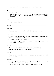• Cannot be used when you cannot see the enemy, or you are in a web or pit.

#### *Vanish*

- It is easier to make enemies unwary again.
	- Instead of needing to beat them by more than 25 in their perception check when out of line of sight in order to reduce their alertness, you only need to beat them by more than 15.

## *Dexterity*

• You gain a point of Dexterity.

#### *Perception*

# *Eye for Detail*

• Gives you a bonus of +5 to perception rolls for finding traps and secret doors.

#### *Focused Attack*

- Gives you a bonus equal to half your Perception score to your attacks if you waited on the previous turn (pressed '5' / 'z').
- Only works for the first attack of the round.
	- A set of attacks using rapid attack, or two-weapon fighting, or rapid fire count as a single attack for this purpose).

#### *Keen Senses*

- Allows you to see enemies who are just beyond the edge of a pool of light.
- Provides a +5 bonus to spotting 'invisible' enemies.

#### *Lore-Keeper*

• Allows you to tell the which items are cursed, and to distinguish between mere special items and artefacts.

### *Concentration*

- Gives you a +1 bonus to attack for each consecutive round spent attacking a particular enemy (to a maximum of half your perception).
	- Spending a turn waiting/blocking ('5' or 'z') doesn't break concentration.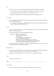# *Bane*

- You receive a bonus to *all* skill rolls against a selected broad category of enemy.
	- The categories are: Orc, Wolf, Spider, Troll, Wraith, Rauko, Serpent, Dragon.
	- You need to have killed 4 enemies from the category to select it.
	- When you reach  $2<sup>n</sup>$  kills of your chosen enemy, the bonus increases to +n.

# *Lore-Master*

- You can immediately identify all items and gain full knowledge of all types of enemy that you might encounter.
	- You still gain the experience for identification only when you actually encounter an item of a type you had not seen before.

## *Listen*

- Gives you a chance each turn to detect monsters that you cannot see (including around corners and through doors).
- This chance takes the form of a perception skill check:
	- difficulty = opponent's stealth score
		- $-\overline{3}$  if it is awake but unwary
		- –5 if it moved
		- –10 if it called out or smashed a door
		- –15 if it tunnelled through rock
		- +(Song/2) if you are singing the Song of Silence
		- +1 per square of distance along the shortest sound path
		- +5 per closed door along the shortest sound path
- Successes represent the opponent as a grey asterisk, unless you succeed by 10 or more, in which case they are completely revealed.

# *Master Hunter*

- Gives you an attack bonus of +1 for each time you have killed an opponent of the same narrow type (up to a maximum of a quarter of your Perception).
- e.g. killing 3 Orc soldiers gives you a +3 attack bonus against Orc soldiers.

# *Grace*

• You gain a point of Grace.

## *Will*

# *Channelling*

• Gives you a bonus of +5 to your Will when trying to use staves or horns.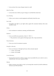• Lets you know how many charges remain in a staff.

# *Mind Over Body*

• Lowers the rate at which you grow hungry to one third the normal rate.

## *Curse Breaking*

• Allows you to remove cursed equipment and thereby break the curse.

#### *Inner Light*

• Strengthens the light in your light radius against the unnatural darkness that some monsters create.

#### *Clarity*

• Gives resistance to confusion, stunning, and hallucination.

#### *Hardiness*

- Gives you [1dX] extra protection, where  $X = Will / 6$ 
	- This protection works against all damage types, like a ring of protection.

#### *Poison Resistance*

• Gives you a level of resistance to poison.

## *Strength in Adversity*

- Gives you bonuses to Strength and Grace when seriously injured:
	- $+1$  when  $\leq 50\%$  health,
	- $+2$  when  $\leq 25\%$  health.

#### *Critical Resistance*

• Increases the amount by which an enemy must successfully hit you in order to score a critical hit (by 1 for every 5 points of Will).

#### *Majesty*

• Makes monsters more likely to flee, by lowering their morale (by half the difference between your Will and theirs).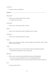# *Constitution*

• You gain a point of Constitution.

# *Smithing*

# *Weaponsmith*

- Allows you to create weapons when at a forge.
	- Includes bows and arrows.

## *Armoursmith*

• Allows you to create armour when at a forge.

## *Jeweller*

• Allows you to create rings, amulets, and light sources at a forge.

## *Enchantment*

• Allows you to create {special} items at a forge.

## *Artistry*

• Allows you to improve the attack, evasion, damage, and protection values of items that you create at a forge.

## *Artifice*

- Allows you to create your own custom artefacts with many different properties.
	- Note that these require three uses of a forge each.

## *Masterpiece*

- Allows you to create items whose difficulty exceeds your Smithing skill.
	- For each excess point of difficulty, you lose one Smithing skill point.
	- This loss is permanent, but you can always regain the point with more experience.

# *Grace*

• You gain a point of Grace.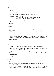#### *Song*

*Song of Elbereth*

- Causes fear in intelligent enemies.
- This is done through a skill check of your Song skill versus:
	- $\bullet$  difficulty = enemy's Will skill
		- +1 per square of distance along the shortest sound path +5 per closed door along the shortest sound path
- Temporarily lowers their morale by 1 per point you succeed by.
- Voice: **⅓** per turn.
- Noise: 8

## *Song of Slaying*

- Gives you a bonus to attack that increases each time you kill an opponent and fades away over time.
	- Killing an enemy will give you a temporary bonus of 10% of your Song, but this will quickly start to fade
	- At any time your bonus will be proportional to your Song score
	- If you are killing enemies at a steady rate *r*, the bonus will be proportional to the square root of *r* (so you need to quadruple the killing rate to double the bonus).
- Voice: **⅓** per turn.
- Noise: 12

## *Song of Silence*

- Quietens sounds in the dungeon, making opponents less likely to notice you.
- Lowers the noise you make by half your Song skill, effectively giving opponents a penalty of this size to their perception checks.
- Also gives this penalty to opponents in hearing *each other* when they call for help etc.
- *But* it even gives this penalty to your own perception checks if using the 'listen' ability.
- Voice: **⅓** per turn.
- Noise: 0

## *Song of Freedom*

- Eases your passage through the dungeon.
- It gives you free action (protection from entrancement and slowing) and makes existing effects of these types wear off very quickly.
- It has a chance of disarming nearby traps (whether discovered or not), removing rubble, and discovering secret doors and unlocking locked or stuck doors or chests.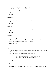- This is done through a skill check of your Song skill versus:
	- difficulty = base of: dungeon-level/2 + 5
		- +1 per square of distance along the shortest sound path +5 per closed door along the shortest sound path
- Voice: **⅓** per turn.
- Noise: 4

#### *Song of the Trees*

- Increases your light radius by 1 per 5 points of Song skill.
- Voice: **⅓** per turn.
- Noise: 4

## *Song of Aule*

- Increases your Smithing skill by 1 per 4 points of Song skill.
- Voice: **⅓** per turn.
- Noise: 8

## *Song of Staying*

- Gives you [1dx] protection, where x is one third of your Song skill.
	- This protection works against all damage types, like a ring of protection.
- Increases your Will skill by 1 per 3 points of Song skill.
- Voice: 1 per turn.
- Noise: 4

## *Song of Lorien*

- Lowers the alertness of nearby enemies, making them unwary and then ultimately putting them to sleep.
- This is done through a skill check of your Song skill versus:
	- difficulty = enemy's Will skill  $+ 5$ 
		- +1 per square of distance along the shortest sound path
			- +5 per closed door along the shortest sound path
- Voice: 1 per turn.
- Noise: 4

## *Song of Este*

- Makes you recover your health X times faster, where X is a quarter of your Song skill.
- Makes you recover from all negative status effects X times faster.